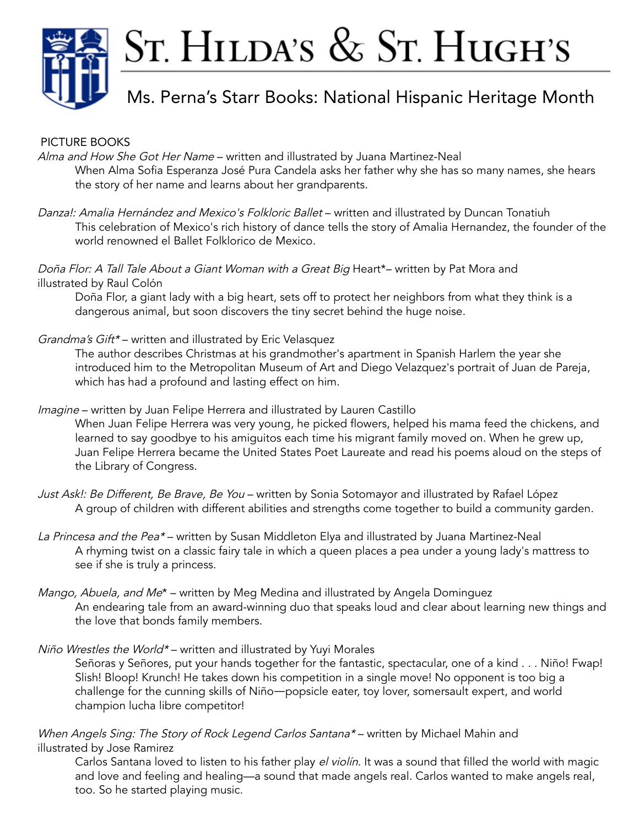

# ST. HILDA'S & ST. HUGH'S

# Ms. Perna's Starr Books: National Hispanic Heritage Month

#### PICTURE BOOKS

Alma and How She Got Her Name – written and illustrated by Juana Martinez-Neal When Alma Sofia Esperanza José Pura Candela asks her father why she has so many names, she hears the story of her name and learns about her grandparents.

Danza!: Amalia Hernández and Mexico's Folkloric Ballet – written and illustrated by Duncan Tonatiuh This celebration of Mexico's rich history of dance tells the story of Amalia Hernandez, the founder of the world renowned el Ballet Folklorico de Mexico.

Doña Flor: A Tall Tale About a Giant Woman with a Great Big Heart\*- written by Pat Mora and illustrated by Raul Colón

Doña Flor, a giant lady with a big heart, sets off to protect her neighbors from what they think is a dangerous animal, but soon discovers the tiny secret behind the huge noise.

Grandma's Gift\*- written and illustrated by Eric Velasquez

The author describes Christmas at his grandmother's apartment in Spanish Harlem the year she introduced him to the Metropolitan Museum of Art and Diego Velazquez's portrait of Juan de Pareja, which has had a profound and lasting effect on him.

Imagine – written by Juan Felipe Herrera and illustrated by Lauren Castillo

When Juan Felipe Herrera was very young, he picked flowers, helped his mama feed the chickens, and learned to say goodbye to his amiguitos each time his migrant family moved on. When he grew up, Juan Felipe Herrera became the United States Poet Laureate and read his poems aloud on the steps of the Library of Congress.

- Just Ask!: Be Different, Be Brave, Be You written by Sonia Sotomayor and illustrated by Rafael López A group of children with different abilities and strengths come together to build a community garden.
- La Princesa and the Pea<sup>\*</sup> written by Susan Middleton Elya and illustrated by Juana Martinez-Neal A rhyming twist on a classic fairy tale in which a queen places a pea under a young lady's mattress to see if she is truly a princess.
- Mango, Abuela, and Me<sup>\*</sup> written by Meg Medina and illustrated by Angela Dominguez An endearing tale from an award-winning duo that speaks loud and clear about learning new things and the love that bonds family members.
- Niño Wrestles the World\* written and illustrated by Yuyi Morales

Señoras y Señores, put your hands together for the fantastic, spectacular, one of a kind . . . Niño! Fwap! Slish! Bloop! Krunch! He takes down his competition in a single move! No opponent is too big a challenge for the cunning skills of Niño―popsicle eater, toy lover, somersault expert, and world champion lucha libre competitor!

When Angels Sing: The Story of Rock Legend Carlos Santana\*- written by Michael Mahin and illustrated by Jose Ramirez

Carlos Santana loved to listen to his father play el violín. It was a sound that filled the world with magic and love and feeling and healing—a sound that made angels real. Carlos wanted to make angels real, too. So he started playing music.